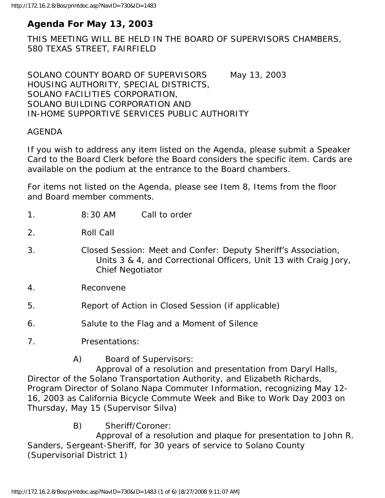# **Agenda For May 13, 2003**

THIS MEETING WILL BE HELD IN THE BOARD OF SUPERVISORS CHAMBERS, 580 TEXAS STREET, FAIRFIELD

SOLANO COUNTY BOARD OF SUPERVISORS May 13, 2003 HOUSING AUTHORITY, SPECIAL DISTRICTS, SOLANO FACILITIES CORPORATION, SOLANO BUILDING CORPORATION AND IN-HOME SUPPORTIVE SERVICES PUBLIC AUTHORITY

#### AGENDA

If you wish to address any item listed on the Agenda, please submit a Speaker Card to the Board Clerk before the Board considers the specific item. Cards are available on the podium at the entrance to the Board chambers.

For items not listed on the Agenda, please see Item 8, Items from the floor and Board member comments.

| 1 <sub>1</sub> | 8:30 AM<br>Call to order                                                                                                                                      |
|----------------|---------------------------------------------------------------------------------------------------------------------------------------------------------------|
| 2.             | Roll Call                                                                                                                                                     |
| 3.             | Closed Session: Meet and Confer: Deputy Sheriff's Association,<br>Units 3 & 4, and Correctional Officers, Unit 13 with Craig Jory,<br><b>Chief Negotiator</b> |
| 4.             | Reconvene                                                                                                                                                     |
| 5.             | Report of Action in Closed Session (if applicable)                                                                                                            |
| 6.             | Salute to the Flag and a Moment of Silence                                                                                                                    |
| 7.             | Presentations:                                                                                                                                                |
|                | A)<br><b>Board of Supervisors:</b><br>Approval of a resolution and presentation from Daryl Halls,                                                             |

Director of the Solano Transportation Authority, and Elizabeth Richards, Program Director of Solano Napa Commuter Information, recognizing May 12- 16, 2003 as California Bicycle Commute Week and Bike to Work Day 2003 on Thursday, May 15 (Supervisor Silva)

B) Sheriff/Coroner:

 Approval of a resolution and plaque for presentation to John R. Sanders, Sergeant-Sheriff, for 30 years of service to Solano County (Supervisorial District 1)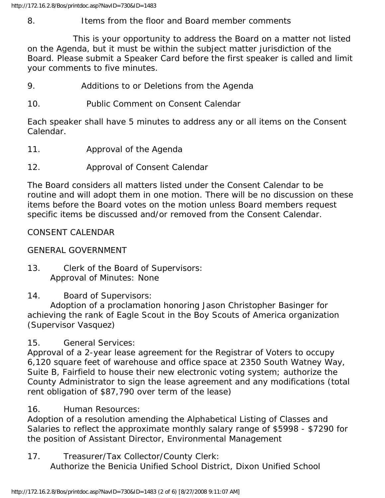## 8. Items from the floor and Board member comments

 This is your opportunity to address the Board on a matter not listed on the Agenda, but it must be within the subject matter jurisdiction of the Board. Please submit a Speaker Card before the first speaker is called and limit your comments to five minutes.

- 9. Additions to or Deletions from the Agenda
- 10. Public Comment on Consent Calendar

Each speaker shall have 5 minutes to address any or all items on the Consent Calendar.

- 11. Approval of the Agenda
- 12. Approval of Consent Calendar

The Board considers all matters listed under the Consent Calendar to be routine and will adopt them in one motion. There will be no discussion on these items before the Board votes on the motion unless Board members request specific items be discussed and/or removed from the Consent Calendar.

## CONSENT CALENDAR

## GENERAL GOVERNMENT

13. Clerk of the Board of Supervisors: Approval of Minutes: None

## 14. Board of Supervisors:

 Adoption of a proclamation honoring Jason Christopher Basinger for achieving the rank of Eagle Scout in the Boy Scouts of America organization (Supervisor Vasquez)

## 15. General Services:

Approval of a 2-year lease agreement for the Registrar of Voters to occupy 6,120 square feet of warehouse and office space at 2350 South Watney Way, Suite B, Fairfield to house their new electronic voting system; authorize the County Administrator to sign the lease agreement and any modifications (total rent obligation of \$87,790 over term of the lease)

## 16. Human Resources:

Adoption of a resolution amending the Alphabetical Listing of Classes and Salaries to reflect the approximate monthly salary range of \$5998 - \$7290 for the position of Assistant Director, Environmental Management

17. Treasurer/Tax Collector/County Clerk: Authorize the Benicia Unified School District, Dixon Unified School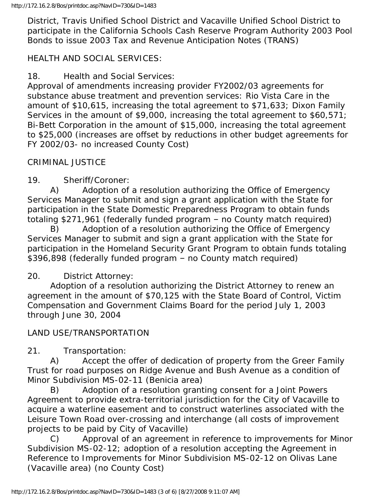District, Travis Unified School District and Vacaville Unified School District to participate in the California Schools Cash Reserve Program Authority 2003 Pool Bonds to issue 2003 Tax and Revenue Anticipation Notes (TRANS)

## HEALTH AND SOCIAL SERVICES:

18. Health and Social Services:

Approval of amendments increasing provider FY2002/03 agreements for substance abuse treatment and prevention services: Rio Vista Care in the amount of \$10,615, increasing the total agreement to \$71,633; Dixon Family Services in the amount of \$9,000, increasing the total agreement to \$60,571; Bi-Bett Corporation in the amount of \$15,000, increasing the total agreement to \$25,000 (increases are offset by reductions in other budget agreements for FY 2002/03- no increased County Cost)

## CRIMINAL JUSTICE

19. Sheriff/Coroner:

 A) Adoption of a resolution authorizing the Office of Emergency Services Manager to submit and sign a grant application with the State for participation in the State Domestic Preparedness Program to obtain funds totaling \$271,961 (federally funded program – no County match required)

 B) Adoption of a resolution authorizing the Office of Emergency Services Manager to submit and sign a grant application with the State for participation in the Homeland Security Grant Program to obtain funds totaling \$396,898 (federally funded program – no County match required)

## 20. District Attorney:

 Adoption of a resolution authorizing the District Attorney to renew an agreement in the amount of \$70,125 with the State Board of Control, Victim Compensation and Government Claims Board for the period July 1, 2003 through June 30, 2004

## LAND USE/TRANSPORTATION

21. Transportation:

 A) Accept the offer of dedication of property from the Greer Family Trust for road purposes on Ridge Avenue and Bush Avenue as a condition of Minor Subdivision MS-02-11 (Benicia area)

 B) Adoption of a resolution granting consent for a Joint Powers Agreement to provide extra-territorial jurisdiction for the City of Vacaville to acquire a waterline easement and to construct waterlines associated with the Leisure Town Road over-crossing and interchange (all costs of improvement projects to be paid by City of Vacaville)

 C) Approval of an agreement in reference to improvements for Minor Subdivision MS-02-12; adoption of a resolution accepting the Agreement in Reference to Improvements for Minor Subdivision MS-02-12 on Olivas Lane (Vacaville area) (no County Cost)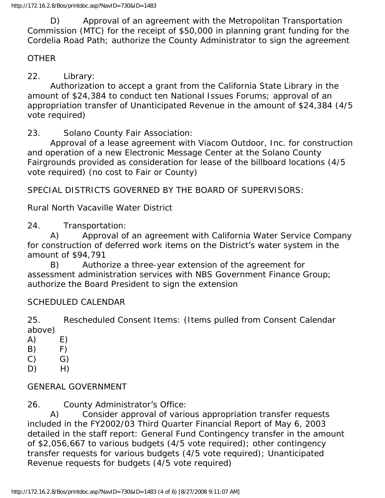D) Approval of an agreement with the Metropolitan Transportation Commission (MTC) for the receipt of \$50,000 in planning grant funding for the Cordelia Road Path; authorize the County Administrator to sign the agreement

### **OTHER**

22. Library:

 Authorization to accept a grant from the California State Library in the amount of \$24,384 to conduct ten National Issues Forums; approval of an appropriation transfer of Unanticipated Revenue in the amount of \$24,384 (4/5 vote required)

23. Solano County Fair Association:

 Approval of a lease agreement with Viacom Outdoor, Inc. for construction and operation of a new Electronic Message Center at the Solano County Fairgrounds provided as consideration for lease of the billboard locations (4/5 vote required) (no cost to Fair or County)

SPECIAL DISTRICTS GOVERNED BY THE BOARD OF SUPERVISORS:

Rural North Vacaville Water District

24. Transportation:

 A) Approval of an agreement with California Water Service Company for construction of deferred work items on the District's water system in the amount of \$94,791

 B) Authorize a three-year extension of the agreement for assessment administration services with NBS Government Finance Group; authorize the Board President to sign the extension

#### SCHEDULED CALENDAR

25. Rescheduled Consent Items: (Items pulled from Consent Calendar above)

- A) E)
- $(B)$   $F)$
- $(C)$   $G)$
- D) H)

## GENERAL GOVERNMENT

26. County Administrator's Office:

 A) Consider approval of various appropriation transfer requests included in the FY2002/03 Third Quarter Financial Report of May 6, 2003 detailed in the staff report: General Fund Contingency transfer in the amount of \$2,056,667 to various budgets (4/5 vote required); other contingency transfer requests for various budgets (4/5 vote required); Unanticipated Revenue requests for budgets (4/5 vote required)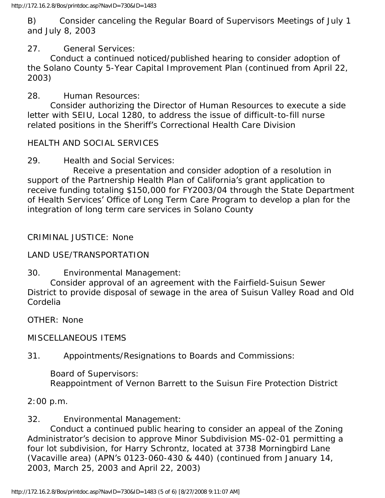B) Consider canceling the Regular Board of Supervisors Meetings of July 1 and July 8, 2003

## 27. General Services:

 Conduct a continued noticed/published hearing to consider adoption of the Solano County 5-Year Capital Improvement Plan (continued from April 22, 2003)

28. Human Resources:

 Consider authorizing the Director of Human Resources to execute a side letter with SEIU, Local 1280, to address the issue of difficult-to-fill nurse related positions in the Sheriff's Correctional Health Care Division

### HEALTH AND SOCIAL SERVICES

29. Health and Social Services:

 Receive a presentation and consider adoption of a resolution in support of the Partnership Health Plan of California's grant application to receive funding totaling \$150,000 for FY2003/04 through the State Department of Health Services' Office of Long Term Care Program to develop a plan for the integration of long term care services in Solano County

### CRIMINAL JUSTICE: None

#### LAND USE/TRANSPORTATION

#### 30. Environmental Management:

 Consider approval of an agreement with the Fairfield-Suisun Sewer District to provide disposal of sewage in the area of Suisun Valley Road and Old Cordelia

OTHER: None

MISCELLANEOUS ITEMS

31. Appointments/Resignations to Boards and Commissions:

#### Board of Supervisors:

Reappointment of Vernon Barrett to the Suisun Fire Protection District

2:00 p.m.

#### 32. Environmental Management:

 Conduct a continued public hearing to consider an appeal of the Zoning Administrator's decision to approve Minor Subdivision MS-02-01 permitting a four lot subdivision, for Harry Schrontz, located at 3738 Morningbird Lane (Vacaville area) (APN's 0123-060-430 & 440) (continued from January 14, 2003, March 25, 2003 and April 22, 2003)